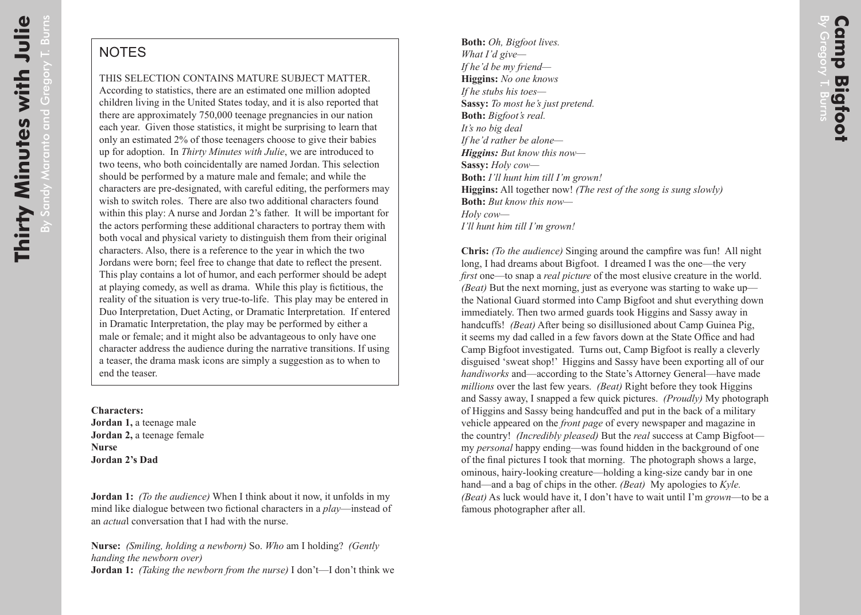## **NOTES**

## THIS SELECTION CONTAINS MATURE SUBJECT MATTER.

According to statistics, there are an estimated one million adopted children living in the United States today, and it is also reported that there are approximately 750,000 teenage pregnancies in our nation each year. Given those statistics, it might be surprising to learn that only an estimated 2% of those teenagers choose to give their babies up for adoption. In *Thirty Minutes with Julie*, we are introduced to two teens, who both coincidentally are named Jordan. This selection should be performed by a mature male and female; and while the characters are pre-designated, with careful editing, the performers may wish to switch roles. There are also two additional characters found within this play: A nurse and Jordan 2's father. It will be important for the actors performing these additional characters to portray them with both vocal and physical variety to distinguish them from their original characters. Also, there is a reference to the year in which the two Jordans were born; feel free to change that date to reflect the present. This play contains a lot of humor, and each performer should be adept at playing comedy, as well as drama. While this play is fictitious, the reality of the situation is very true-to-life. This play may be entered in Duo Interpretation, Duet Acting, or Dramatic Interpretation. If entered in Dramatic Interpretation, the play may be performed by either a male or female; and it might also be advantageous to only have one character address the audience during the narrative transitions. If using a teaser, the drama mask icons are simply a suggestion as to when to end the teaser.

**Characters: Jordan 1,** a teenage male **Jordan 2,** a teenage female **Nurse Jordan 2's Dad**

**Jordan 1:** *(To the audience)* When I think about it now, it unfolds in my mind like dialogue between two fictional characters in a *play*—instead of an *actua*l conversation that I had with the nurse.

**Nurse:** *(Smiling, holding a newborn)* So. *Who* am I holding? *(Gently handing the newborn over)* **Jordan 1:** *(Taking the newborn from the nurse)* I don't—I don't think we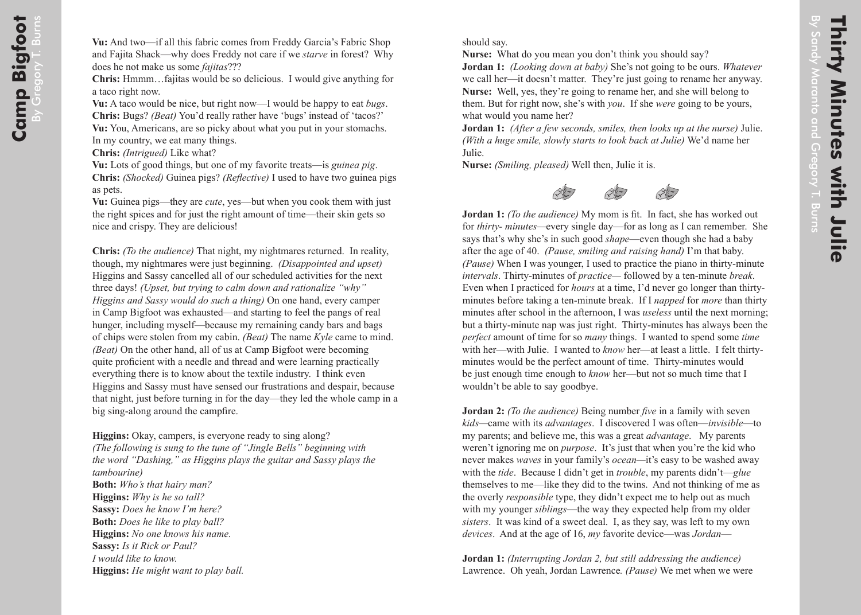By **Thirty Minutes with Julie** Sandy Maranto and **Minutes with Julie** Gregory T. Burns

should say.

**Nurse:** What do you mean you don't think you should say?

**Jordan 1:** *(Looking down at baby)* She's not going to be ours. *Whatever* we call her—it doesn't matter. They're just going to rename her anyway. **Nurse:** Well, yes, they're going to rename her, and she will belong to them. But for right now, she's with *you*. If she *were* going to be yours, what would you name her?

**Jordan 1:** *(After a few seconds, smiles, then looks up at the nurse)* Julie. *(With a huge smile, slowly starts to look back at Julie)* We'd name her Julie.

**Nurse:** *(Smiling, pleased)* Well then, Julie it is.



**Jordan 1:** *(To the audience)* My mom is fit. In fact, she has worked out for *thirty- minutes—*every single day—for as long as I can remember. She says that's why she's in such good *shape*—even though she had a baby after the age of 40. *(Pause, smiling and raising hand)* I'm that baby. *(Pause)* When I was younger, I used to practice the piano in thirty-minute *intervals*. Thirty-minutes of *practice—* followed by a ten-minute *break*. Even when I practiced for *hours* at a time, I'd never go longer than thirtyminutes before taking a ten-minute break. If I *napped* for *more* than thirty minutes after school in the afternoon, I was *useless* until the next morning; but a thirty-minute nap was just right. Thirty-minutes has always been the *perfect* amount of time for so *many* things. I wanted to spend some *time* with her—with Julie. I wanted to *know* her—at least a little. I felt thirtyminutes would be the perfect amount of time. Thirty-minutes would be just enough time enough to *know* her—but not so much time that I wouldn't be able to say goodbye.

**Jordan 2:** *(To the audience)* Being number *five* in a family with seven *kids—*came with its *advantages*. I discovered I was often—*invisible*—to my parents; and believe me, this was a great *advantage*. My parents weren't ignoring me on *purpose*. It's just that when you're the kid who never makes *waves* in your family's *ocean—*it's easy to be washed away with the *tide*. Because I didn't get in *trouble*, my parents didn't—*glue*  themselves to me—like they did to the twins. And not thinking of me as the overly *responsible* type, they didn't expect me to help out as much with my younger *siblings*—the way they expected help from my older *sisters*. It was kind of a sweet deal. I, as they say, was left to my own *devices*. And at the age of 16, *my* favorite device—was *Jordan*—

**Jordan 1:** *(Interrupting Jordan 2, but still addressing the audience)* Lawrence. Oh yeah, Jordan Lawrence*. (Pause)* We met when we were